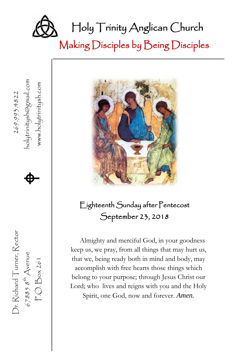

Making Disciples by Being Disciples



、

Dr. Richard Turner, Rector  $269.993.4822$ 

Dr. Richard Turner, Rector

 $678858^{th}$  Avenue<br>P.O. Box 261

67885  $s^{\text{th}}$  Avenue **A** 

 $\spadesuit$ 

holytrinitysh@gmail.com<br>www.holytrinitysh.com

P.O. Box 261 www.holytrinitysh.com

#### Eighteenth Sunday after Pentecost September 23, 2018

Almighty and merciful God, in your goodness keep us, we pray, from all things that may hurt us, that we, being ready both in mind and body, may accomplish with free hearts those things which belong to your purpose; through Jesus Christ our Lord; who lives and reigns with you and the Holy Spirit, one God, now and forever. *Amen.*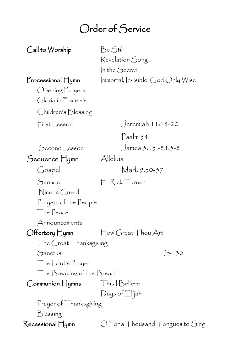## Order of Service

Call to Worship Be Still

 Revelation Song In the Secret Processional Hymn Immortal, Invisible, God Only Wise

Opening Prayers Gloria in Excelsis Children's Blessing

First Lesson Jeremiah 11:18-20

Psalm 54

Second Lesson James 3:13 -\$4:3-8

Sequence Hymn Alleluía

Gospel Mark 9:30-37

Sermon Fr. Rick Turner Nicene Creed Prayers of the People The Peace Announcements Offertory Hymn How Great Thou Art

The Great Thanksgiving  $S<sub>-130</sub>$ The Lord's Prayer The Breaking of the Bread Communion Hymns This Believe

Days of Elijah Prayer of Thanksgiving

Blessing

Recessional Hymn  $\bigcirc$  For a Thousand Tongues to Sing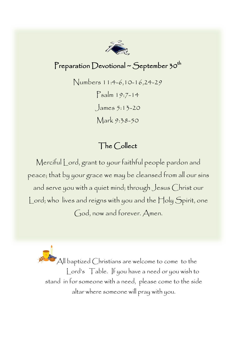

#### Preparation Devotional ~ September 30 $^{\sf th}$

Numbers 11:4-6,10-16,24-29 Psalm 19:7-14 James 5:13-20 Mark 9:38-50

#### The Collect

Merciful Lord, grant to your faithful people pardon and peace; that by your grace we may be cleansed from all our sins and serve you with a quiet mind; through Jesus Christ our Lord; who lives and reigns with you and the Holy Spirit, one God, now and forever. Amen.

All baptized Christians are welcome to come to the Lord's Table. If you have a need or you wish to stand in for someone with a need, please come to the side altar where someone will pray with you.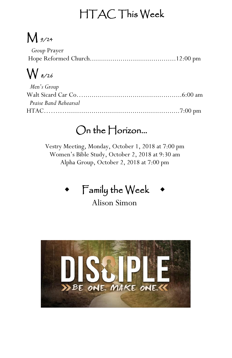# HTAC This Week

# M 9/24

| <i>Group</i> Prayer |  |
|---------------------|--|
|                     |  |

# W 8/26

| Men's Group           |  |
|-----------------------|--|
|                       |  |
| Praise Band Rehearsal |  |
|                       |  |

## On the Horizon…

Vestry Meeting, Monday, October 1, 2018 at 7:00 pm Women's Bible Study, October 2, 2018 at 9:30 am Alpha Group, October 2, 2018 at 7:00 pm

## Family the Week

Alison Simon

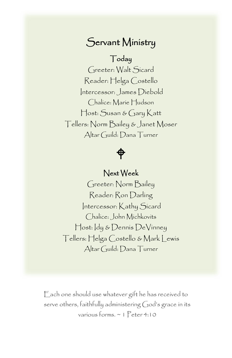#### Servant Ministry

## Today

 Reader: Helga Costello Intercessor: James Diebold Host: Susan & Gary Katt Altar Guild: Dana Turner Greeter: Walt Sicard Chalice: Marie Hudson Tellers: Norm Bailey & Janet Moser

#### ⊕

#### Next Week

 Greeter: Norm Bailey Intercessor: Kathy Sicard Reader: Ron Darling Chalice: John Michkovits Host: Idy & Dennis DeVinney Tellers: Helga Costello & Mark Lewis Altar Guild: Dana Turner

Each one should use whatever gift he has received to serve others, faithfully administering God's grace in its various forms. ~ 1 Peter 4:10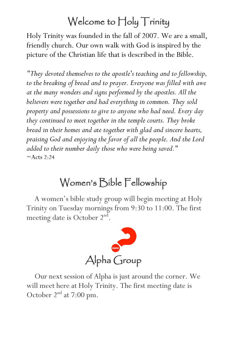## Welcome to Holy Trinity

Holy Trinity was founded in the fall of 2007. We are a small, friendly church. Our own walk with God is inspired by the picture of the Christian life that is described in the Bible.

*"They devoted themselves to the apostle's teaching and to fellowship, to the breaking of bread and to prayer. Everyone was filled with awe at the many wonders and signs performed by the apostles. All the believers were together and had everything in common. They sold property and possessions to give to anyone who had need. Every day they continued to meet together in the temple courts. They broke bread in their homes and ate together with glad and sincere hearts, praising God and enjoying the favor of all the people. And the Lord added to their number daily those who were being saved."*   $~\sim$ Acts 2:24

## Women's Bible Fellowship

 A women's bible study group will begin meeting at Holy Trinity on Tuesday mornings from 9:30 to 11:00. The first meeting date is October 2<sup>nd</sup>.



 Our next session of Alpha is just around the corner. We will meet here at Holy Trinity. The first meeting date is October 2<sup>nd</sup> at 7:00 pm.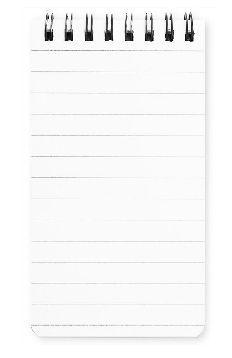|  |  |  | $\frac{1}{2}$ | $\begin{picture}(20,20) \put(0,0){\line(1,0){155}} \put(15,0){\line(1,0){155}} \put(15,0){\line(1,0){155}} \put(15,0){\line(1,0){155}} \put(15,0){\line(1,0){155}} \put(15,0){\line(1,0){155}} \put(15,0){\line(1,0){155}} \put(15,0){\line(1,0){155}} \put(15,0){\line(1,0){155}} \put(15,0){\line(1,0){155}} \put(15,0){\line(1,0){155}} \$ |
|--|--|--|---------------|-----------------------------------------------------------------------------------------------------------------------------------------------------------------------------------------------------------------------------------------------------------------------------------------------------------------------------------------------|
|  |  |  |               |                                                                                                                                                                                                                                                                                                                                               |
|  |  |  |               |                                                                                                                                                                                                                                                                                                                                               |
|  |  |  |               |                                                                                                                                                                                                                                                                                                                                               |
|  |  |  |               |                                                                                                                                                                                                                                                                                                                                               |
|  |  |  |               |                                                                                                                                                                                                                                                                                                                                               |
|  |  |  |               |                                                                                                                                                                                                                                                                                                                                               |
|  |  |  |               |                                                                                                                                                                                                                                                                                                                                               |
|  |  |  |               |                                                                                                                                                                                                                                                                                                                                               |
|  |  |  |               |                                                                                                                                                                                                                                                                                                                                               |
|  |  |  |               |                                                                                                                                                                                                                                                                                                                                               |